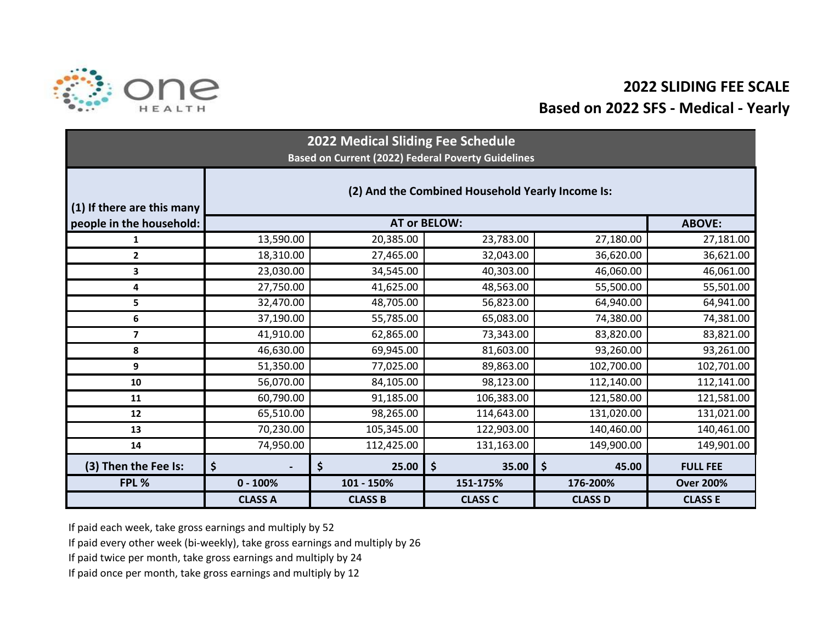

## **2022 SLIDING FEE SCALEBased on 2022 SFS - Medical - Yearly**

| 2022 Medical Sliding Fee Schedule<br><b>Based on Current (2022) Federal Poverty Guidelines</b> |                                                  |                |                |                |                  |  |  |  |  |
|------------------------------------------------------------------------------------------------|--------------------------------------------------|----------------|----------------|----------------|------------------|--|--|--|--|
| (1) If there are this many                                                                     | (2) And the Combined Household Yearly Income Is: |                |                |                |                  |  |  |  |  |
| people in the household:                                                                       |                                                  | <b>ABOVE:</b>  |                |                |                  |  |  |  |  |
| 1                                                                                              | 13,590.00                                        | 20,385.00      | 23,783.00      | 27,180.00      | 27,181.00        |  |  |  |  |
| $\overline{2}$                                                                                 | 18,310.00                                        | 27,465.00      | 32,043.00      | 36,620.00      | 36,621.00        |  |  |  |  |
| 3                                                                                              | 23,030.00                                        | 34,545.00      | 40,303.00      | 46,060.00      | 46,061.00        |  |  |  |  |
| 4                                                                                              | 27,750.00                                        | 41,625.00      | 48,563.00      | 55,500.00      | 55,501.00        |  |  |  |  |
| 5                                                                                              | 32,470.00                                        | 48,705.00      | 56,823.00      | 64,940.00      | 64,941.00        |  |  |  |  |
| 6                                                                                              | 37,190.00                                        | 55,785.00      | 65,083.00      | 74,380.00      | 74,381.00        |  |  |  |  |
| $\overline{7}$                                                                                 | 41,910.00                                        | 62,865.00      | 73,343.00      | 83,820.00      | 83,821.00        |  |  |  |  |
| 8                                                                                              | 46,630.00                                        | 69,945.00      | 81,603.00      | 93,260.00      | 93,261.00        |  |  |  |  |
| 9                                                                                              | 51,350.00                                        | 77,025.00      | 89,863.00      | 102,700.00     | 102,701.00       |  |  |  |  |
| 10                                                                                             | 56,070.00                                        | 84,105.00      | 98,123.00      | 112,140.00     | 112,141.00       |  |  |  |  |
| 11                                                                                             | 60,790.00                                        | 91,185.00      | 106,383.00     | 121,580.00     | 121,581.00       |  |  |  |  |
| 12                                                                                             | 65,510.00                                        | 98,265.00      | 114,643.00     | 131,020.00     | 131,021.00       |  |  |  |  |
| 13                                                                                             | 70,230.00                                        | 105,345.00     | 122,903.00     | 140,460.00     | 140,461.00       |  |  |  |  |
| 14                                                                                             | 74,950.00                                        | 112,425.00     | 131,163.00     | 149,900.00     | 149,901.00       |  |  |  |  |
| (3) Then the Fee Is:                                                                           | \$<br>$\overline{\phantom{0}}$                   | \$<br>25.00    | \$<br>35.00    | \$<br>45.00    | <b>FULL FEE</b>  |  |  |  |  |
| FPL %                                                                                          | $0 - 100%$                                       | 101 - 150%     | 151-175%       | 176-200%       | <b>Over 200%</b> |  |  |  |  |
|                                                                                                | <b>CLASS A</b>                                   | <b>CLASS B</b> | <b>CLASS C</b> | <b>CLASS D</b> | <b>CLASS E</b>   |  |  |  |  |

If paid each week, take gross earnings and multiply by 52

If paid every other week (bi-weekly), take gross earnings and multiply by 26

If paid twice per month, take gross earnings and multiply by 24

If paid once per month, take gross earnings and multiply by 12